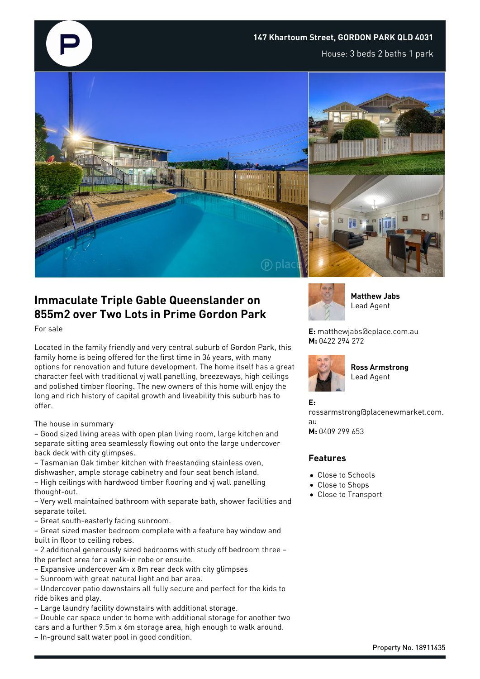

## **Immaculate Triple Gable Queenslander on 855m2 over Two Lots in Prime Gordon Park**

For sale

Located in the family friendly and very central suburb of Gordon Park, this family home is being offered for the first time in 36 years, with many options for renovation and future development. The home itself has a great character feel with traditional vj wall panelling, breezeways, high ceilings and polished timber flooring. The new owners of this home will enjoy the long and rich history of capital growth and liveability this suburb has to offer.

## The house in summary

– Good sized living areas with open plan living room, large kitchen and separate sitting area seamlessly flowing out onto the large undercover back deck with city glimpses.

– Tasmanian Oak timber kitchen with freestanding stainless oven, dishwasher, ample storage cabinetry and four seat bench island. – High ceilings with hardwood timber flooring and vj wall panelling thought-out.

– Very well maintained bathroom with separate bath, shower facilities and separate toilet.

– Great south-easterly facing sunroom.

– Great sized master bedroom complete with a feature bay window and built in floor to ceiling robes.

– 2 additional generously sized bedrooms with study off bedroom three – the perfect area for a walk-in robe or ensuite.

– Expansive undercover 4m x 8m rear deck with city glimpses

– Sunroom with great natural light and bar area.

– Undercover patio downstairs all fully secure and perfect for the kids to ride bikes and play.

– Large laundry facility downstairs with additional storage.

– Double car space under to home with additional storage for another two cars and a further 9.5m x 6m storage area, high enough to walk around. – In-ground salt water pool in good condition.



**Matthew Jabs** Lead Agent

**E:** matthewjabs@eplace.com.au **M:** 0422 294 272



**Ross Armstrong** Lead Agent

## **E:**

rossarmstrong@placenewmarket.com. au

**M:** 0409 299 653

## **Features**

- Close to Schools
- Close to Shops
- Close to Transport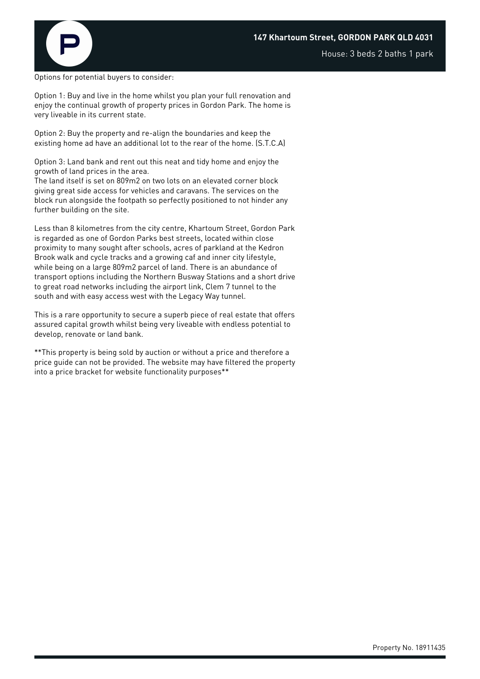

House: 3 beds 2 baths 1 park

Options for potential buyers to consider:

Option 1: Buy and live in the home whilst you plan your full renovation and enjoy the continual growth of property prices in Gordon Park. The home is very liveable in its current state.

Option 2: Buy the property and re-align the boundaries and keep the existing home ad have an additional lot to the rear of the home. (S.T.C.A)

Option 3: Land bank and rent out this neat and tidy home and enjoy the growth of land prices in the area.

The land itself is set on 809m2 on two lots on an elevated corner block giving great side access for vehicles and caravans. The services on the block run alongside the footpath so perfectly positioned to not hinder any further building on the site.

Less than 8 kilometres from the city centre, Khartoum Street, Gordon Park is regarded as one of Gordon Parks best streets, located within close proximity to many sought after schools, acres of parkland at the Kedron Brook walk and cycle tracks and a growing caf and inner city lifestyle, while being on a large 809m2 parcel of land. There is an abundance of transport options including the Northern Busway Stations and a short drive to great road networks including the airport link, Clem 7 tunnel to the south and with easy access west with the Legacy Way tunnel.

This is a rare opportunity to secure a superb piece of real estate that offers assured capital growth whilst being very liveable with endless potential to develop, renovate or land bank.

\*\*This property is being sold by auction or without a price and therefore a price guide can not be provided. The website may have filtered the property into a price bracket for website functionality purposes\*\*